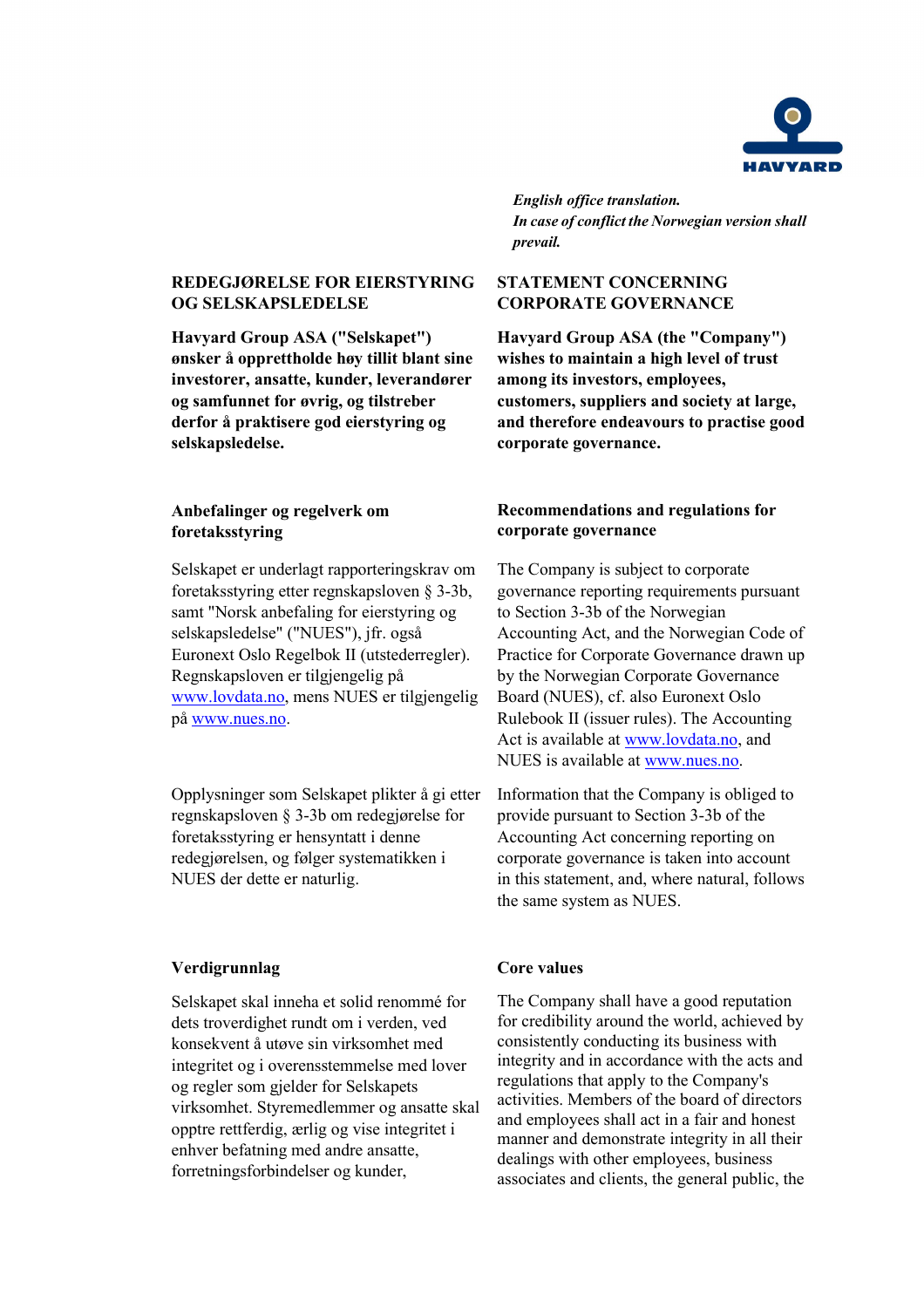

*English office translation. In case of conflict the Norwegian version shall prevail.*

# **REDEGJØRELSE FOR EIERSTYRING OG SELSKAPSLEDELSE**

**Havyard Group ASA ("Selskapet") ønsker å opprettholde høy tillit blant sine investorer, ansatte, kunder, leverandører og samfunnet for øvrig, og tilstreber derfor å praktisere god eierstyring og selskapsledelse.**

# **Anbefalinger og regelverk om foretaksstyring**

Selskapet er underlagt rapporteringskrav om foretaksstyring etter regnskapsloven § 3-3b, samt "Norsk anbefaling for eierstyring og selskapsledelse" ("NUES"), jfr. også Euronext Oslo Regelbok II (utstederregler). Regnskapsloven er tilgjengelig på [www.lovdata.no,](http://www.lovdata.no/) mens NUES er tilgjengelig på [www.nues.no.](http://www.nues.no/)

Opplysninger som Selskapet plikter å gi etter regnskapsloven § 3-3b om redegjørelse for foretaksstyring er hensyntatt i denne redegjørelsen, og følger systematikken i NUES der dette er naturlig.

# **Verdigrunnlag Core values**

Selskapet skal inneha et solid renommé for dets troverdighet rundt om i verden, ved konsekvent å utøve sin virksomhet med integritet og i overensstemmelse med lover og regler som gjelder for Selskapets virksomhet. Styremedlemmer og ansatte skal opptre rettferdig, ærlig og vise integritet i enhver befatning med andre ansatte, forretningsforbindelser og kunder,

# **STATEMENT CONCERNING CORPORATE GOVERNANCE**

**Havyard Group ASA (the "Company") wishes to maintain a high level of trust among its investors, employees, customers, suppliers and society at large, and therefore endeavours to practise good corporate governance.**

# **Recommendations and regulations for corporate governance**

The Company is subject to corporate governance reporting requirements pursuant to Section 3-3b of the Norwegian Accounting Act, and the Norwegian Code of Practice for Corporate Governance drawn up by the Norwegian Corporate Governance Board (NUES), cf. also Euronext Oslo Rulebook II (issuer rules). The Accounting Act is available at [www.lovdata.no,](http://www.lovdata.no/) and NUES is available at [www.nues.no.](http://www.nues.no/)

Information that the Company is obliged to provide pursuant to Section 3-3b of the Accounting Act concerning reporting on corporate governance is taken into account in this statement, and, where natural, follows the same system as NUES.

The Company shall have a good reputation for credibility around the world, achieved by consistently conducting its business with integrity and in accordance with the acts and regulations that apply to the Company's activities. Members of the board of directors and employees shall act in a fair and honest manner and demonstrate integrity in all their dealings with other employees, business associates and clients, the general public, the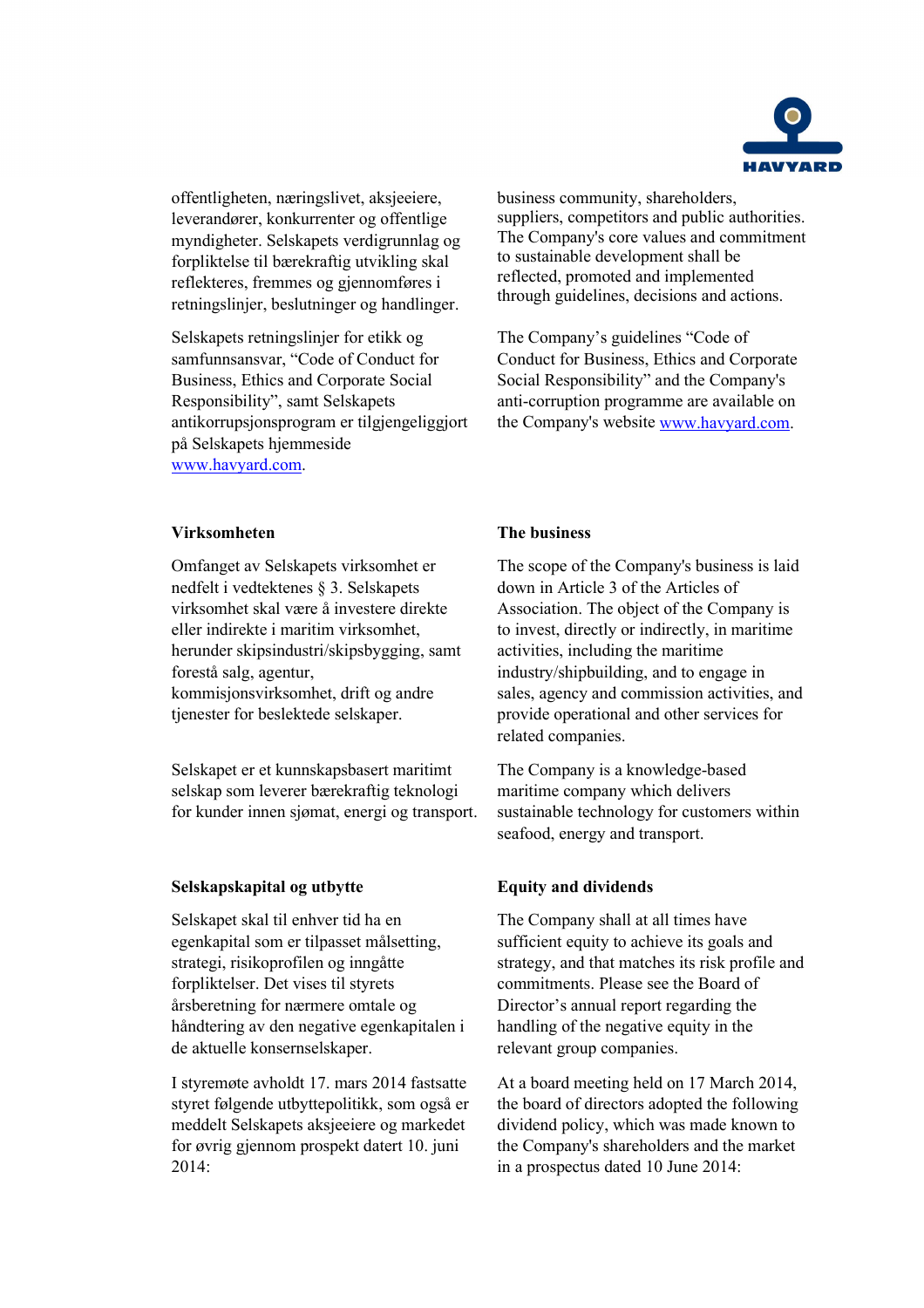

offentligheten, næringslivet, aksjeeiere, leverandører, konkurrenter og offentlige myndigheter. Selskapets verdigrunnlag og forpliktelse til bærekraftig utvikling skal reflekteres, fremmes og gjennomføres i retningslinjer, beslutninger og handlinger.

Selskapets retningslinjer for etikk og samfunnsansvar, "Code of Conduct for Business, Ethics and Corporate Social Responsibility", samt Selskapets antikorrupsjonsprogram er tilgjengeliggjort på Selskapets hjemmeside [www.havyard.com.](http://www.havyard.com/)

business community, shareholders, suppliers, competitors and public authorities. The Company's core values and commitment to sustainable development shall be reflected, promoted and implemented through guidelines, decisions and actions.

The Company's guidelines "Code of Conduct for Business, Ethics and Corporate Social Responsibility" and the Company's anti-corruption programme are available on the Company's website [www.havyard.com.](http://www.havyard.com/)

# **Virksomheten The business**

Omfanget av Selskapets virksomhet er nedfelt i vedtektenes § 3. Selskapets virksomhet skal være å investere direkte eller indirekte i maritim virksomhet, herunder skipsindustri/skipsbygging, samt forestå salg, agentur, kommisjonsvirksomhet, drift og andre tjenester for beslektede selskaper.

Selskapet er et kunnskapsbasert maritimt selskap som leverer bærekraftig teknologi for kunder innen sjømat, energi og transport.

# **Selskapskapital og utbytte Equity and dividends**

Selskapet skal til enhver tid ha en egenkapital som er tilpasset målsetting, strategi, risikoprofilen og inngåtte forpliktelser. Det vises til styrets årsberetning for nærmere omtale og håndtering av den negative egenkapitalen i de aktuelle konsernselskaper.

I styremøte avholdt 17. mars 2014 fastsatte styret følgende utbyttepolitikk, som også er meddelt Selskapets aksjeeiere og markedet for øvrig gjennom prospekt datert 10. juni 2014:

The scope of the Company's business is laid down in Article 3 of the Articles of Association. The object of the Company is to invest, directly or indirectly, in maritime activities, including the maritime industry/shipbuilding, and to engage in sales, agency and commission activities, and provide operational and other services for related companies.

The Company is a knowledge-based maritime company which delivers sustainable technology for customers within seafood, energy and transport.

The Company shall at all times have sufficient equity to achieve its goals and strategy, and that matches its risk profile and commitments. Please see the Board of Director's annual report regarding the handling of the negative equity in the relevant group companies.

At a board meeting held on 17 March 2014, the board of directors adopted the following dividend policy, which was made known to the Company's shareholders and the market in a prospectus dated 10 June 2014: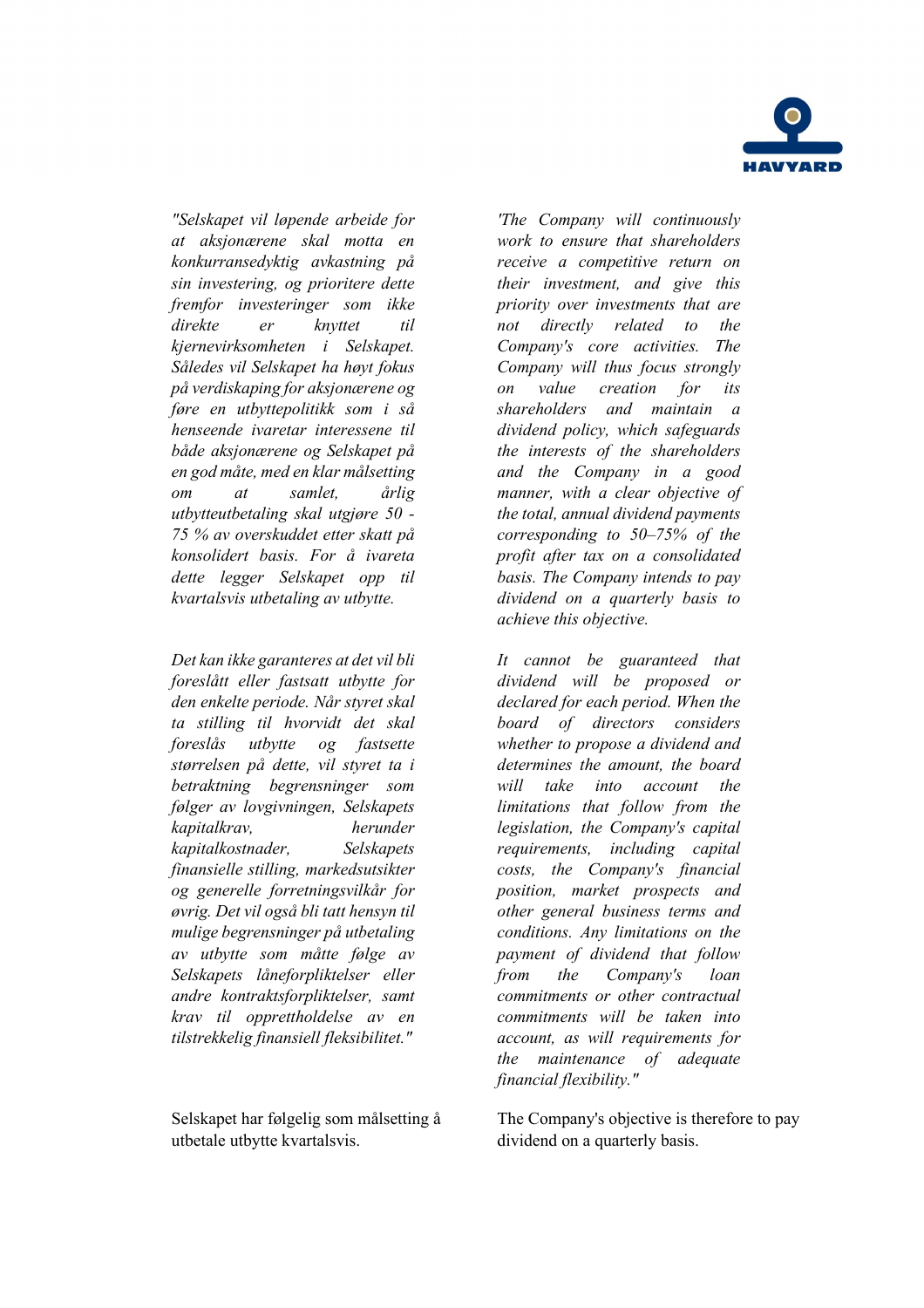

*"Selskapet vil løpende arbeide for at aksjonærene skal motta en konkurransedyktig avkastning på sin investering, og prioritere dette fremfor investeringer som ikke direkte er knyttet til kjernevirksomheten i Selskapet. Således vil Selskapet ha høyt fokus på verdiskaping for aksjonærene og føre en utbyttepolitikk som i så henseende ivaretar interessene til både aksjonærene og Selskapet på en god måte, med en klar målsetting om at samlet, årlig utbytteutbetaling skal utgjøre 50 - 75 % av overskuddet etter skatt på konsolidert basis. For å ivareta dette legger Selskapet opp til kvartalsvis utbetaling av utbytte.*

*Det kan ikke garanteres at det vil bli foreslått eller fastsatt utbytte for den enkelte periode. Når styret skal ta stilling til hvorvidt det skal foreslås utbytte og fastsette størrelsen på dette, vil styret ta i betraktning begrensninger som følger av lovgivningen, Selskapets kapitalkrav, herunder kapitalkostnader, Selskapets finansielle stilling, markedsutsikter og generelle forretningsvilkår for øvrig. Det vil også bli tatt hensyn til mulige begrensninger på utbetaling av utbytte som måtte følge av Selskapets låneforpliktelser eller andre kontraktsforpliktelser, samt krav til opprettholdelse av en tilstrekkelig finansiell fleksibilitet."*

Selskapet har følgelig som målsetting å utbetale utbytte kvartalsvis.

*'The Company will continuously work to ensure that shareholders receive a competitive return on their investment, and give this priority over investments that are not directly related to the Company's core activities. The Company will thus focus strongly on value creation for its shareholders and maintain a dividend policy, which safeguards the interests of the shareholders and the Company in a good manner, with a clear objective of the total, annual dividend payments corresponding to 50–75% of the profit after tax on a consolidated basis. The Company intends to pay dividend on a quarterly basis to achieve this objective.*

*It cannot be guaranteed that dividend will be proposed or declared for each period. When the board of directors considers whether to propose a dividend and determines the amount, the board will take into account the limitations that follow from the legislation, the Company's capital requirements, including capital costs, the Company's financial position, market prospects and other general business terms and conditions. Any limitations on the payment of dividend that follow from the Company's loan commitments or other contractual commitments will be taken into account, as will requirements for the maintenance of adequate financial flexibility."*

The Company's objective is therefore to pay dividend on a quarterly basis.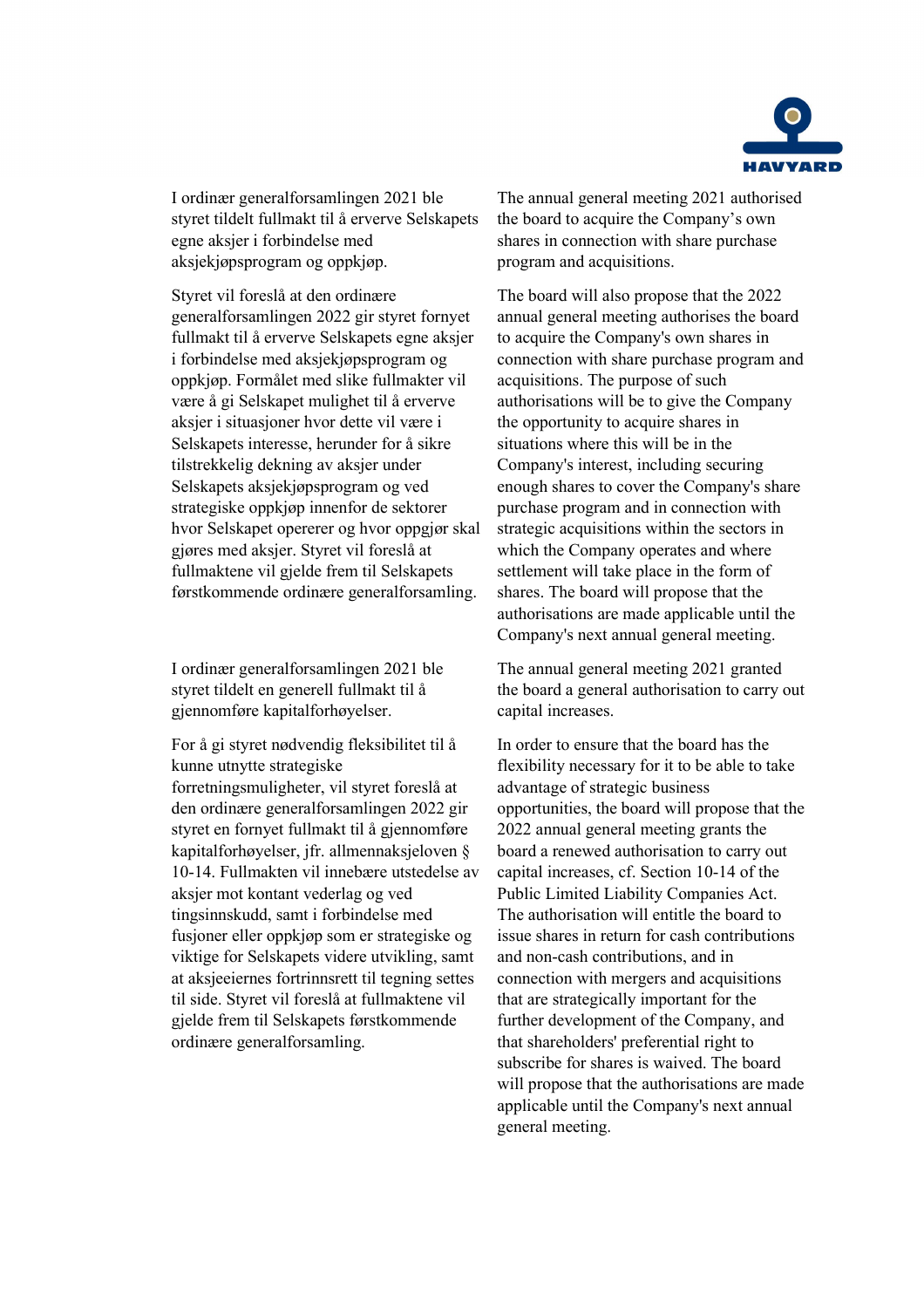

I ordinær generalforsamlingen 2021 ble styret tildelt fullmakt til å erverve Selskapets egne aksjer i forbindelse med aksjekjøpsprogram og oppkjøp.

Styret vil foreslå at den ordinære generalforsamlingen 2022 gir styret fornyet fullmakt til å erverve Selskapets egne aksjer i forbindelse med aksjekjøpsprogram og oppkjøp. Formålet med slike fullmakter vil være å gi Selskapet mulighet til å erverve aksjer i situasjoner hvor dette vil være i Selskapets interesse, herunder for å sikre tilstrekkelig dekning av aksjer under Selskapets aksjekjøpsprogram og ved strategiske oppkjøp innenfor de sektorer hvor Selskapet opererer og hvor oppgjør skal gjøres med aksjer. Styret vil foreslå at fullmaktene vil gjelde frem til Selskapets førstkommende ordinære generalforsamling.

I ordinær generalforsamlingen 2021 ble styret tildelt en generell fullmakt til å gjennomføre kapitalforhøyelser.

For å gi styret nødvendig fleksibilitet til å kunne utnytte strategiske forretningsmuligheter, vil styret foreslå at den ordinære generalforsamlingen 2022 gir styret en fornyet fullmakt til å gjennomføre kapitalforhøyelser, jfr. allmennaksjeloven § 10-14. Fullmakten vil innebære utstedelse av aksjer mot kontant vederlag og ved tingsinnskudd, samt i forbindelse med fusjoner eller oppkjøp som er strategiske og viktige for Selskapets videre utvikling, samt at aksjeeiernes fortrinnsrett til tegning settes til side. Styret vil foreslå at fullmaktene vil gjelde frem til Selskapets førstkommende ordinære generalforsamling.

The annual general meeting 2021 authorised the board to acquire the Company's own shares in connection with share purchase program and acquisitions.

The board will also propose that the 2022 annual general meeting authorises the board to acquire the Company's own shares in connection with share purchase program and acquisitions. The purpose of such authorisations will be to give the Company the opportunity to acquire shares in situations where this will be in the Company's interest, including securing enough shares to cover the Company's share purchase program and in connection with strategic acquisitions within the sectors in which the Company operates and where settlement will take place in the form of shares. The board will propose that the authorisations are made applicable until the Company's next annual general meeting.

The annual general meeting 2021 granted the board a general authorisation to carry out capital increases.

In order to ensure that the board has the flexibility necessary for it to be able to take advantage of strategic business opportunities, the board will propose that the 2022 annual general meeting grants the board a renewed authorisation to carry out capital increases, cf. Section 10-14 of the Public Limited Liability Companies Act. The authorisation will entitle the board to issue shares in return for cash contributions and non-cash contributions, and in connection with mergers and acquisitions that are strategically important for the further development of the Company, and that shareholders' preferential right to subscribe for shares is waived. The board will propose that the authorisations are made applicable until the Company's next annual general meeting.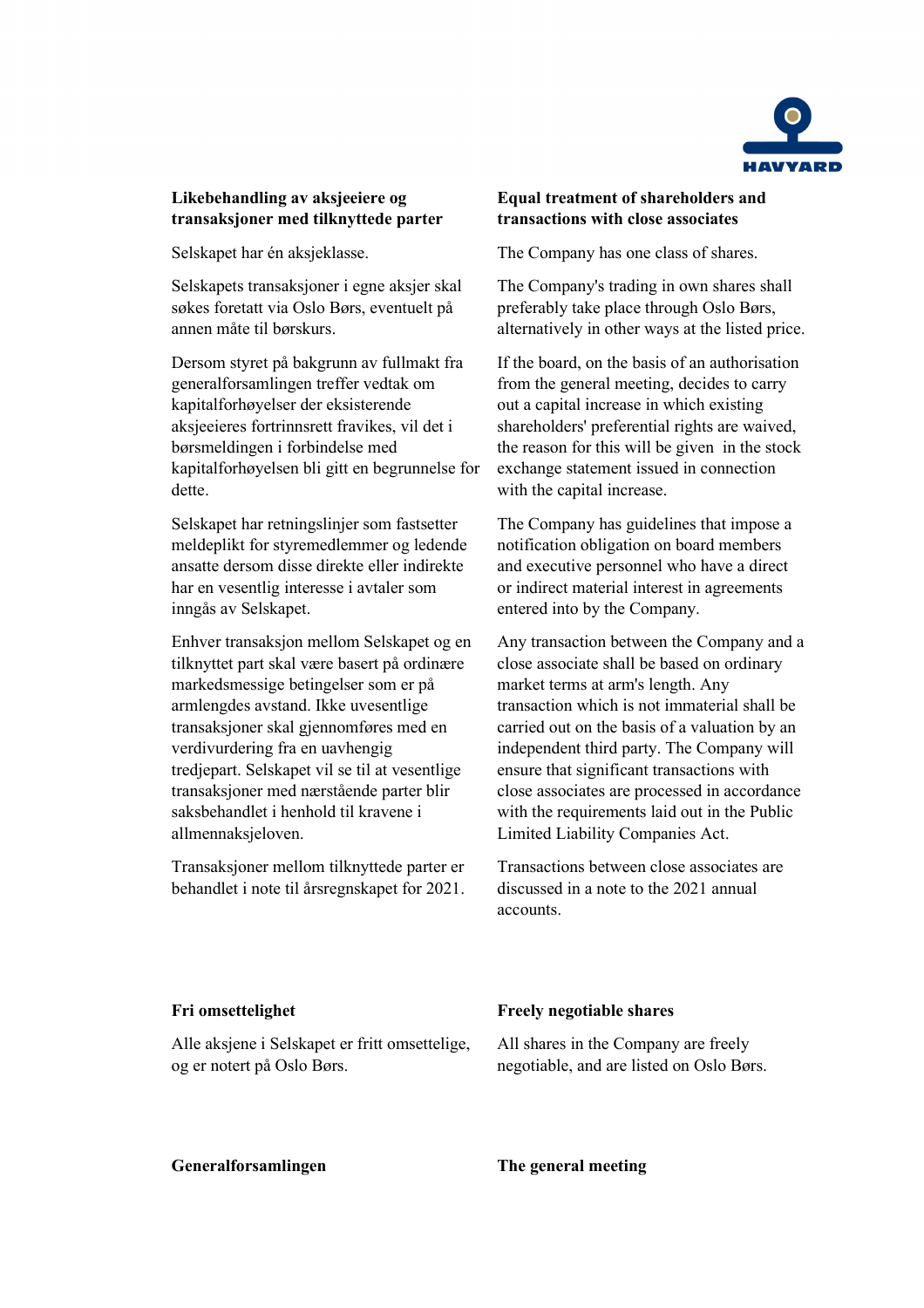

# **Likebehandling av aksjeeiere og transaksjoner med tilknyttede parter**

Selskapets transaksjoner i egne aksjer skal søkes foretatt via Oslo Børs, eventuelt på annen måte til børskurs.

Dersom styret på bakgrunn av fullmakt fra generalforsamlingen treffer vedtak om kapitalforhøyelser der eksisterende aksjeeieres fortrinnsrett fravikes, vil det i børsmeldingen i forbindelse med kapitalforhøyelsen bli gitt en begrunnelse for dette.

Selskapet har retningslinjer som fastsetter meldeplikt for styremedlemmer og ledende ansatte dersom disse direkte eller indirekte har en vesentlig interesse i avtaler som inngås av Selskapet.

Enhver transaksjon mellom Selskapet og en tilknyttet part skal være basert på ordinære markedsmessige betingelser som er på armlengdes avstand. Ikke uvesentlige transaksjoner skal gjennomføres med en verdivurdering fra en uavhengig tredjepart. Selskapet vil se til at vesentlige transaksjoner med nærstående parter blir saksbehandlet i henhold til kravene i allmennaksjeloven.

Transaksjoner mellom tilknyttede parter er behandlet i note til årsregnskapet for 2021.

# **Equal treatment of shareholders and transactions with close associates**

Selskapet har én aksjeklasse. The Company has one class of shares.

The Company's trading in own shares shall preferably take place through Oslo Børs, alternatively in other ways at the listed price.

If the board, on the basis of an authorisation from the general meeting, decides to carry out a capital increase in which existing shareholders' preferential rights are waived, the reason for this will be given in the stock exchange statement issued in connection with the capital increase.

The Company has guidelines that impose a notification obligation on board members and executive personnel who have a direct or indirect material interest in agreements entered into by the Company.

Any transaction between the Company and a close associate shall be based on ordinary market terms at arm's length. Any transaction which is not immaterial shall be carried out on the basis of a valuation by an independent third party. The Company will ensure that significant transactions with close associates are processed in accordance with the requirements laid out in the Public Limited Liability Companies Act.

Transactions between close associates are discussed in a note to the 2021 annual accounts.

Alle aksjene i Selskapet er fritt omsettelige, og er notert på Oslo Børs.

## **Fri omsettelighet Freely negotiable shares**

All shares in the Company are freely negotiable, and are listed on Oslo Børs.

**Generalforsamlingen The general meeting**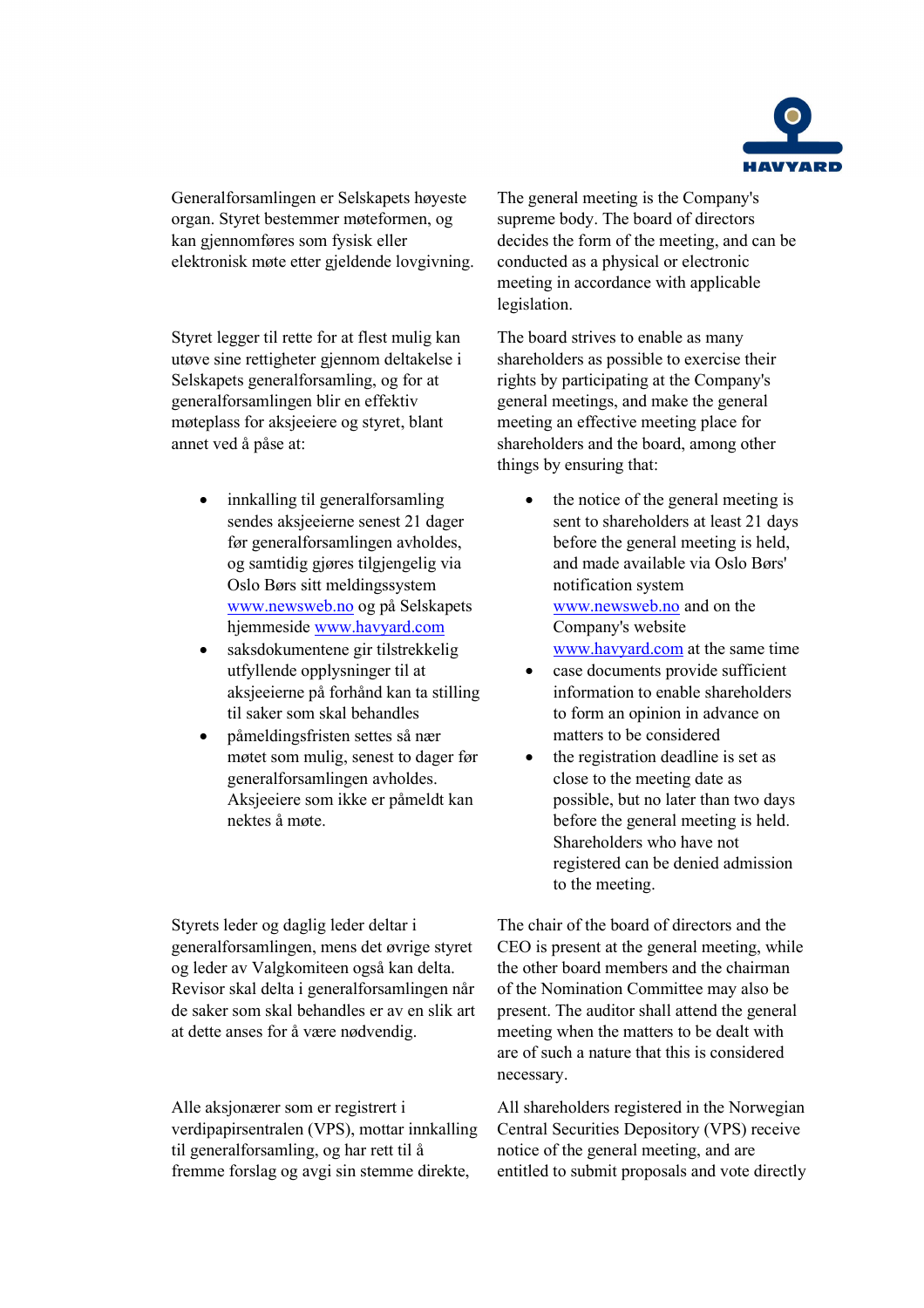

Generalforsamlingen er Selskapets høyeste organ. Styret bestemmer møteformen, og kan gjennomføres som fysisk eller elektronisk møte etter gjeldende lovgivning.

Styret legger til rette for at flest mulig kan utøve sine rettigheter gjennom deltakelse i Selskapets generalforsamling, og for at generalforsamlingen blir en effektiv møteplass for aksjeeiere og styret, blant annet ved å påse at:

- innkalling til generalforsamling sendes aksjeeierne senest 21 dager før generalforsamlingen avholdes, og samtidig gjøres tilgjengelig via Oslo Børs sitt meldingssystem [www.newsweb.no](http://www.newsweb.no/) og på Selskapets hjemmeside [www.havyard.com](http://www.havyard.com/)
- saksdokumentene gir tilstrekkelig utfyllende opplysninger til at aksjeeierne på forhånd kan ta stilling til saker som skal behandles
- påmeldingsfristen settes så nær møtet som mulig, senest to dager før generalforsamlingen avholdes. Aksjeeiere som ikke er påmeldt kan nektes å møte.

Styrets leder og daglig leder deltar i generalforsamlingen, mens det øvrige styret og leder av Valgkomiteen også kan delta. Revisor skal delta i generalforsamlingen når de saker som skal behandles er av en slik art at dette anses for å være nødvendig.

Alle aksjonærer som er registrert i verdipapirsentralen (VPS), mottar innkalling til generalforsamling, og har rett til å fremme forslag og avgi sin stemme direkte,

The general meeting is the Company's supreme body. The board of directors decides the form of the meeting, and can be conducted as a physical or electronic meeting in accordance with applicable legislation.

The board strives to enable as many shareholders as possible to exercise their rights by participating at the Company's general meetings, and make the general meeting an effective meeting place for shareholders and the board, among other things by ensuring that:

- the notice of the general meeting is sent to shareholders at least 21 days before the general meeting is held, and made available via Oslo Børs' notification system [www.newsweb.no](http://www.newsweb.no/) and on the Company's website [www.havyard.com](http://www.havyard.com/) at the same time
- case documents provide sufficient information to enable shareholders to form an opinion in advance on matters to be considered
- the registration deadline is set as close to the meeting date as possible, but no later than two days before the general meeting is held. Shareholders who have not registered can be denied admission to the meeting.

The chair of the board of directors and the CEO is present at the general meeting, while the other board members and the chairman of the Nomination Committee may also be present. The auditor shall attend the general meeting when the matters to be dealt with are of such a nature that this is considered necessary.

All shareholders registered in the Norwegian Central Securities Depository (VPS) receive notice of the general meeting, and are entitled to submit proposals and vote directly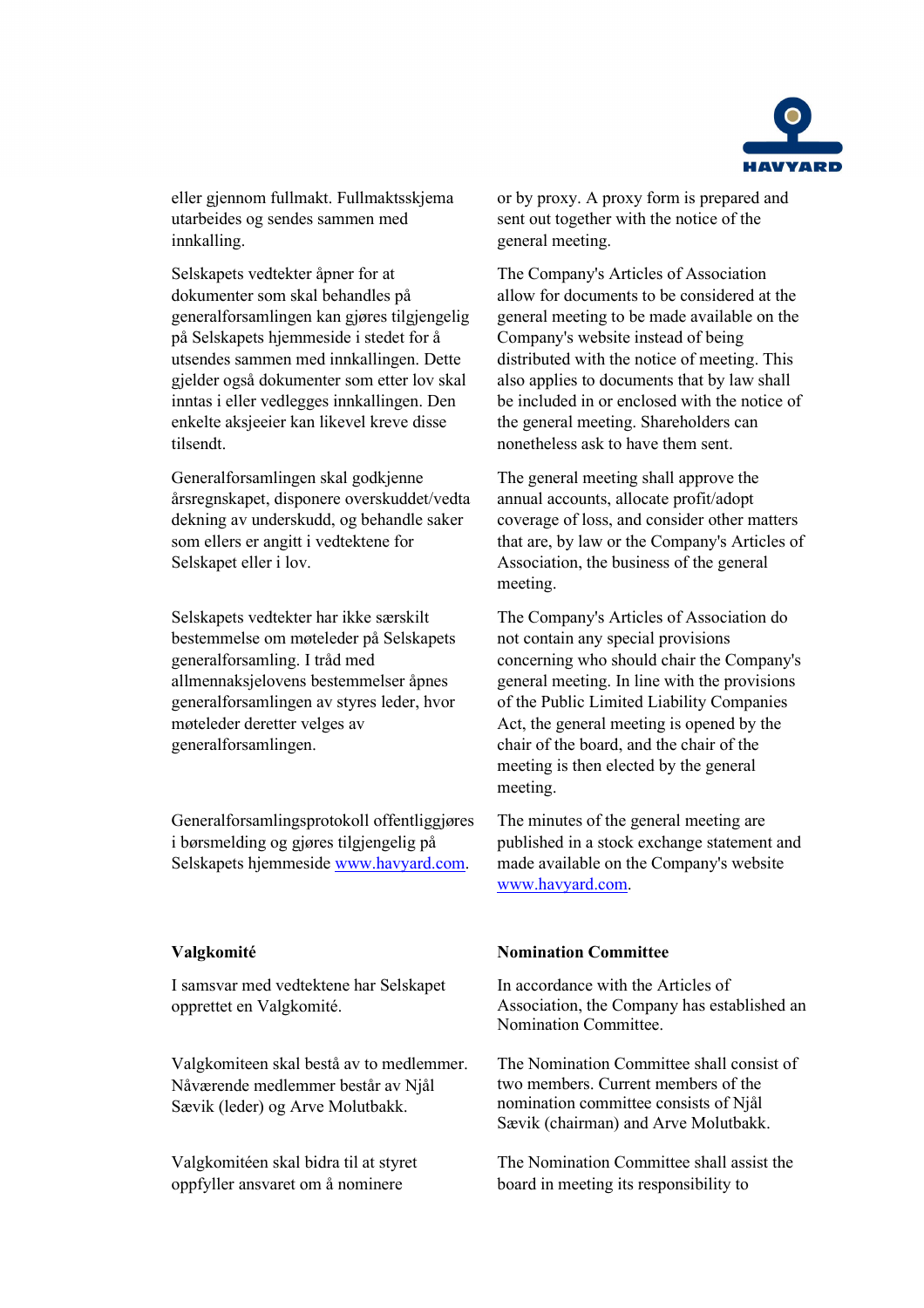

eller gjennom fullmakt. Fullmaktsskjema utarbeides og sendes sammen med innkalling.

Selskapets vedtekter åpner for at dokumenter som skal behandles på generalforsamlingen kan gjøres tilgjengelig på Selskapets hjemmeside i stedet for å utsendes sammen med innkallingen. Dette gjelder også dokumenter som etter lov skal inntas i eller vedlegges innkallingen. Den enkelte aksjeeier kan likevel kreve disse tilsendt.

Generalforsamlingen skal godkjenne årsregnskapet, disponere overskuddet/vedta dekning av underskudd, og behandle saker som ellers er angitt i vedtektene for Selskapet eller i lov.

Selskapets vedtekter har ikke særskilt bestemmelse om møteleder på Selskapets generalforsamling. I tråd med allmennaksjelovens bestemmelser åpnes generalforsamlingen av styres leder, hvor møteleder deretter velges av generalforsamlingen.

Generalforsamlingsprotokoll offentliggjøres i børsmelding og gjøres tilgjengelig på Selskapets hjemmeside [www.havyard.com.](http://www.havyard.com/)

I samsvar med vedtektene har Selskapet opprettet en Valgkomité.

Valgkomiteen skal bestå av to medlemmer. Nåværende medlemmer består av Njål Sævik (leder) og Arve Molutbakk.

Valgkomitéen skal bidra til at styret oppfyller ansvaret om å nominere

or by proxy. A proxy form is prepared and sent out together with the notice of the general meeting.

The Company's Articles of Association allow for documents to be considered at the general meeting to be made available on the Company's website instead of being distributed with the notice of meeting. This also applies to documents that by law shall be included in or enclosed with the notice of the general meeting. Shareholders can nonetheless ask to have them sent.

The general meeting shall approve the annual accounts, allocate profit/adopt coverage of loss, and consider other matters that are, by law or the Company's Articles of Association, the business of the general meeting.

The Company's Articles of Association do not contain any special provisions concerning who should chair the Company's general meeting. In line with the provisions of the Public Limited Liability Companies Act, the general meeting is opened by the chair of the board, and the chair of the meeting is then elected by the general meeting.

The minutes of the general meeting are published in a stock exchange statement and made available on the Company's website [www.havyard.com.](http://www.havyard.com/)

## **Valgkomité Nomination Committee**

In accordance with the Articles of Association, the Company has established an Nomination Committee.

The Nomination Committee shall consist of two members. Current members of the nomination committee consists of Njål Sævik (chairman) and Arve Molutbakk.

The Nomination Committee shall assist the board in meeting its responsibility to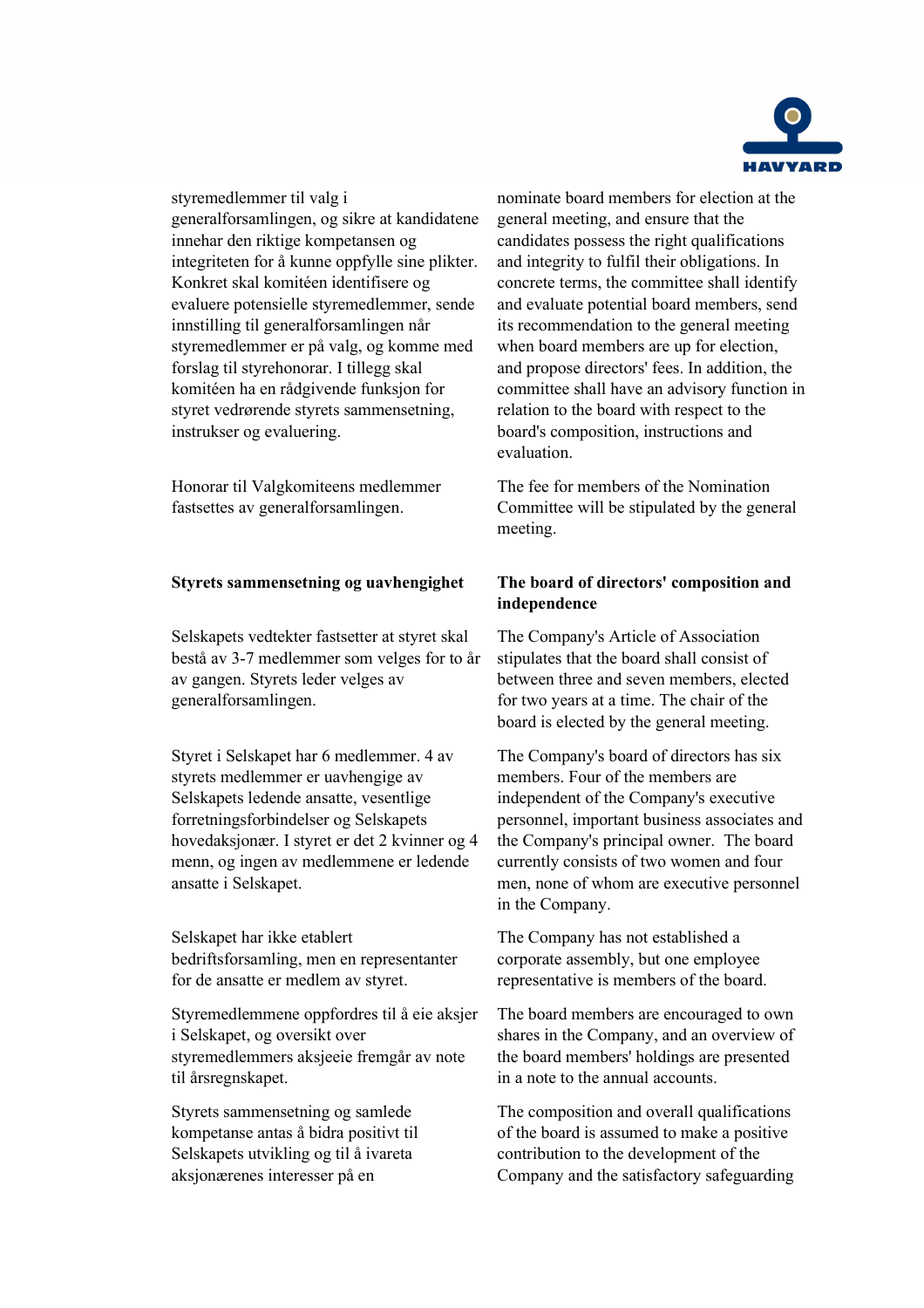

styremedlemmer til valg i generalforsamlingen, og sikre at kandidatene innehar den riktige kompetansen og integriteten for å kunne oppfylle sine plikter. Konkret skal komitéen identifisere og evaluere potensielle styremedlemmer, sende innstilling til generalforsamlingen når styremedlemmer er på valg, og komme med forslag til styrehonorar. I tillegg skal komitéen ha en rådgivende funksjon for styret vedrørende styrets sammensetning, instrukser og evaluering.

Honorar til Valgkomiteens medlemmer fastsettes av generalforsamlingen.

# **Styrets sammensetning og uavhengighet The board of directors' composition and**

Selskapets vedtekter fastsetter at styret skal bestå av 3-7 medlemmer som velges for to år av gangen. Styrets leder velges av generalforsamlingen.

Styret i Selskapet har 6 medlemmer. 4 av styrets medlemmer er uavhengige av Selskapets ledende ansatte, vesentlige forretningsforbindelser og Selskapets hovedaksjonær. I styret er det 2 kvinner og 4 menn, og ingen av medlemmene er ledende ansatte i Selskapet.

Selskapet har ikke etablert bedriftsforsamling, men en representanter for de ansatte er medlem av styret.

Styremedlemmene oppfordres til å eie aksjer i Selskapet, og oversikt over styremedlemmers aksjeeie fremgår av note til årsregnskapet.

Styrets sammensetning og samlede kompetanse antas å bidra positivt til Selskapets utvikling og til å ivareta aksjonærenes interesser på en

nominate board members for election at the general meeting, and ensure that the candidates possess the right qualifications and integrity to fulfil their obligations. In concrete terms, the committee shall identify and evaluate potential board members, send its recommendation to the general meeting when board members are up for election, and propose directors' fees. In addition, the committee shall have an advisory function in relation to the board with respect to the board's composition, instructions and evaluation.

The fee for members of the Nomination Committee will be stipulated by the general meeting.

# **independence**

The Company's Article of Association stipulates that the board shall consist of between three and seven members, elected for two years at a time. The chair of the board is elected by the general meeting.

The Company's board of directors has six members. Four of the members are independent of the Company's executive personnel, important business associates and the Company's principal owner. The board currently consists of two women and four men, none of whom are executive personnel in the Company.

The Company has not established a corporate assembly, but one employee representative is members of the board.

The board members are encouraged to own shares in the Company, and an overview of the board members' holdings are presented in a note to the annual accounts.

The composition and overall qualifications of the board is assumed to make a positive contribution to the development of the Company and the satisfactory safeguarding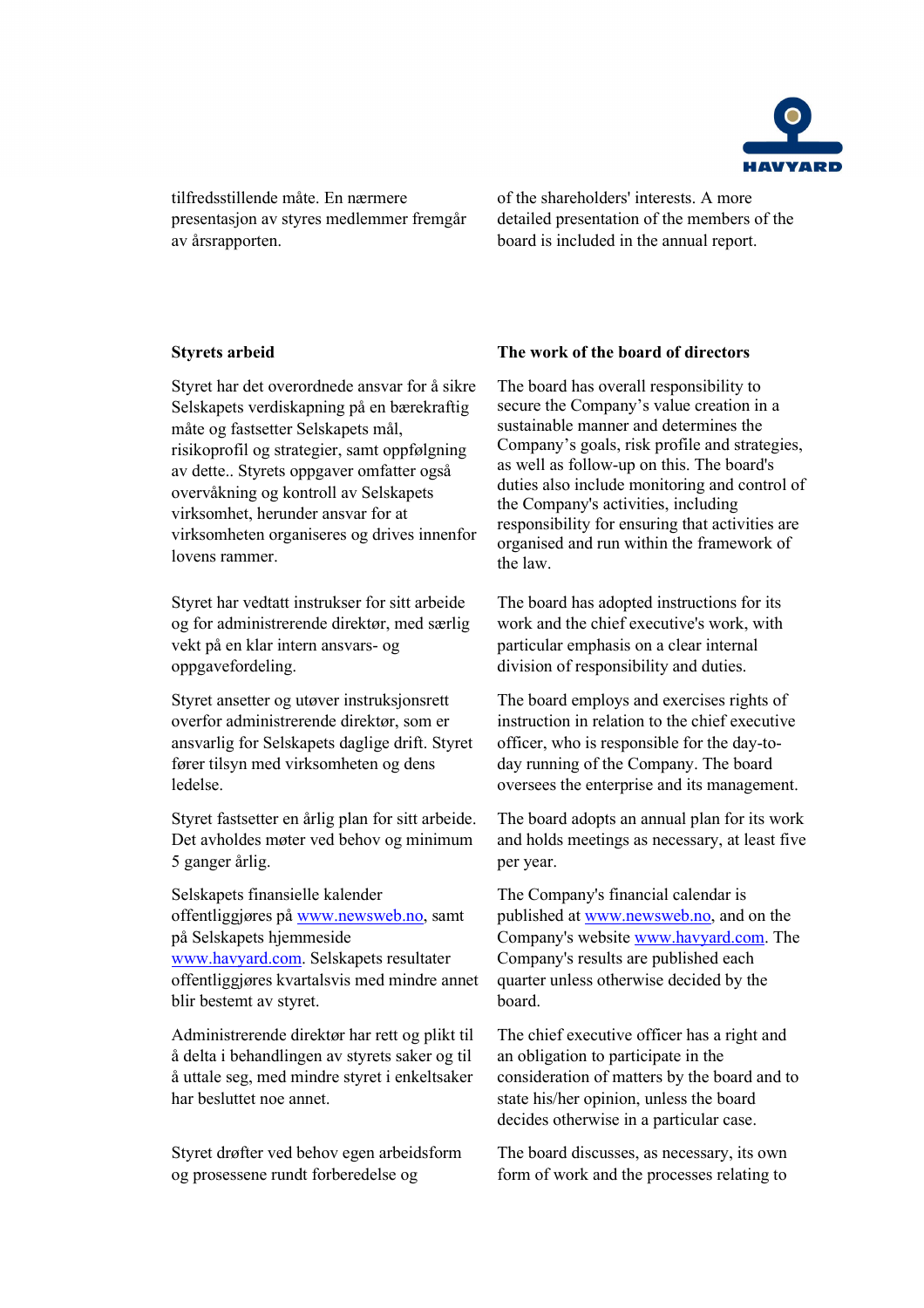

tilfredsstillende måte. En nærmere presentasjon av styres medlemmer fremgår av årsrapporten.

of the shareholders' interests. A more detailed presentation of the members of the board is included in the annual report.

Styret har det overordnede ansvar for å sikre Selskapets verdiskapning på en bærekraftig måte og fastsetter Selskapets mål, risikoprofil og strategier, samt oppfølgning av dette.. Styrets oppgaver omfatter også overvåkning og kontroll av Selskapets virksomhet, herunder ansvar for at virksomheten organiseres og drives innenfor lovens rammer.

Styret har vedtatt instrukser for sitt arbeide og for administrerende direktør, med særlig vekt på en klar intern ansvars- og oppgavefordeling.

Styret ansetter og utøver instruksjonsrett overfor administrerende direktør, som er ansvarlig for Selskapets daglige drift. Styret fører tilsyn med virksomheten og dens ledelse.

Styret fastsetter en årlig plan for sitt arbeide. Det avholdes møter ved behov og minimum 5 ganger årlig.

Selskapets finansielle kalender offentliggjøres på [www.newsweb.no,](http://www.newsweb.no/) samt på Selskapets hjemmeside [www.havyard.com.](http://www.havyard.com/) Selskapets resultater offentliggjøres kvartalsvis med mindre annet blir bestemt av styret.

Administrerende direktør har rett og plikt til å delta i behandlingen av styrets saker og til å uttale seg, med mindre styret i enkeltsaker har besluttet noe annet.

Styret drøfter ved behov egen arbeidsform og prosessene rundt forberedelse og

## **Styrets arbeid The work of the board of directors**

The board has overall responsibility to secure the Company's value creation in a sustainable manner and determines the Company's goals, risk profile and strategies, as well as follow-up on this. The board's duties also include monitoring and control of the Company's activities, including responsibility for ensuring that activities are organised and run within the framework of the law.

The board has adopted instructions for its work and the chief executive's work, with particular emphasis on a clear internal division of responsibility and duties.

The board employs and exercises rights of instruction in relation to the chief executive officer, who is responsible for the day-today running of the Company. The board oversees the enterprise and its management.

The board adopts an annual plan for its work and holds meetings as necessary, at least five per year.

The Company's financial calendar is published at [www.newsweb.no,](http://www.newsweb.no/) and on the Company's website [www.havyard.com.](http://www.havyard.com/) The Company's results are published each quarter unless otherwise decided by the board.

The chief executive officer has a right and an obligation to participate in the consideration of matters by the board and to state his/her opinion, unless the board decides otherwise in a particular case.

The board discusses, as necessary, its own form of work and the processes relating to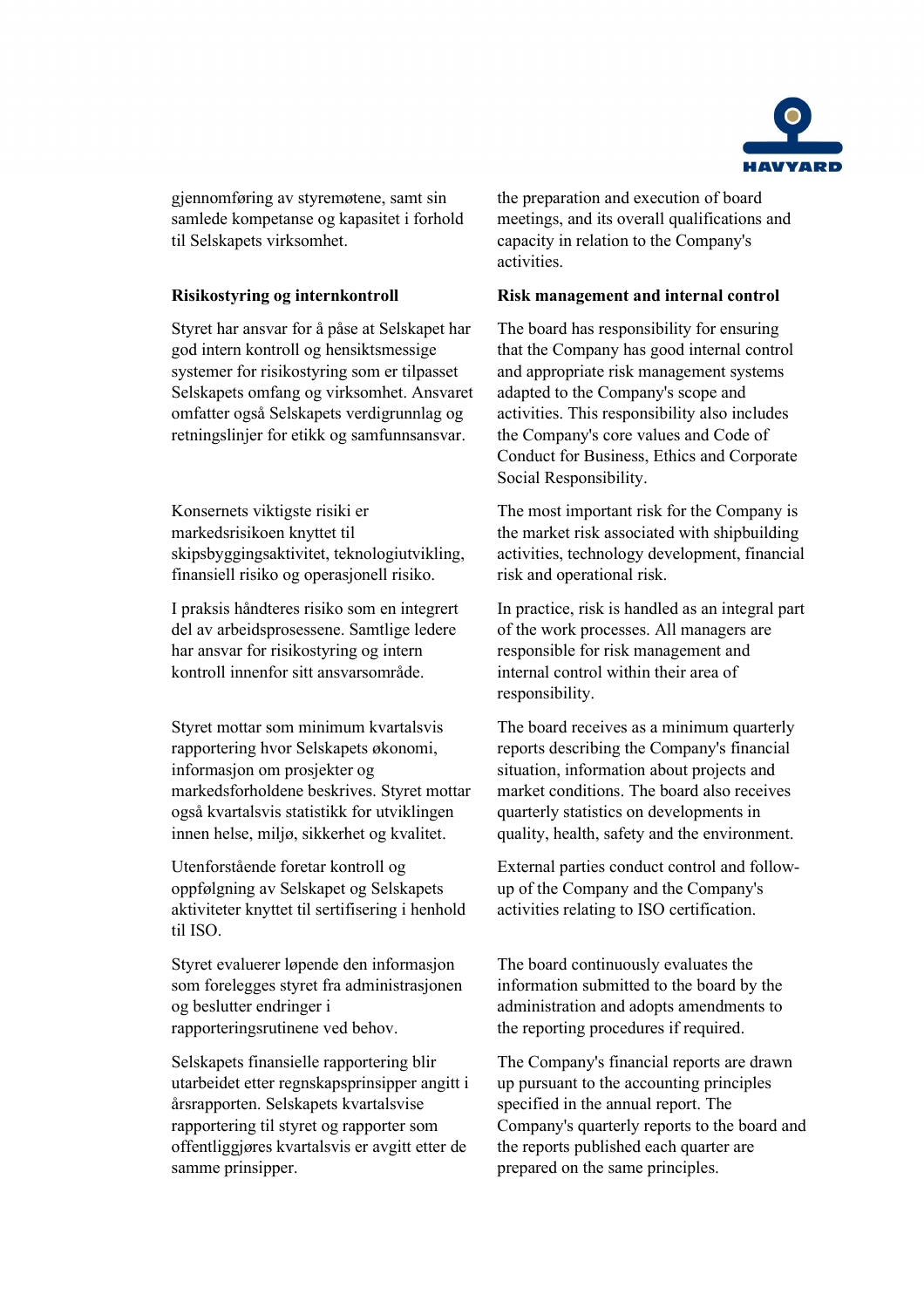

gjennomføring av styremøtene, samt sin samlede kompetanse og kapasitet i forhold til Selskapets virksomhet.

Styret har ansvar for å påse at Selskapet har god intern kontroll og hensiktsmessige systemer for risikostyring som er tilpasset Selskapets omfang og virksomhet. Ansvaret omfatter også Selskapets verdigrunnlag og retningslinjer for etikk og samfunnsansvar.

Konsernets viktigste risiki er markedsrisikoen knyttet til skipsbyggingsaktivitet, teknologiutvikling, finansiell risiko og operasjonell risiko.

I praksis håndteres risiko som en integrert del av arbeidsprosessene. Samtlige ledere har ansvar for risikostyring og intern kontroll innenfor sitt ansvarsområde.

Styret mottar som minimum kvartalsvis rapportering hvor Selskapets økonomi, informasjon om prosjekter og markedsforholdene beskrives. Styret mottar også kvartalsvis statistikk for utviklingen innen helse, miljø, sikkerhet og kvalitet.

Utenforstående foretar kontroll og oppfølgning av Selskapet og Selskapets aktiviteter knyttet til sertifisering i henhold til ISO.

Styret evaluerer løpende den informasjon som forelegges styret fra administrasjonen og beslutter endringer i rapporteringsrutinene ved behov.

Selskapets finansielle rapportering blir utarbeidet etter regnskapsprinsipper angitt i årsrapporten. Selskapets kvartalsvise rapportering til styret og rapporter som offentliggjøres kvartalsvis er avgitt etter de samme prinsipper.

the preparation and execution of board meetings, and its overall qualifications and capacity in relation to the Company's activities.

# **Risikostyring og internkontroll Risk management and internal control**

The board has responsibility for ensuring that the Company has good internal control and appropriate risk management systems adapted to the Company's scope and activities. This responsibility also includes the Company's core values and Code of Conduct for Business, Ethics and Corporate Social Responsibility.

The most important risk for the Company is the market risk associated with shipbuilding activities, technology development, financial risk and operational risk.

In practice, risk is handled as an integral part of the work processes. All managers are responsible for risk management and internal control within their area of responsibility.

The board receives as a minimum quarterly reports describing the Company's financial situation, information about projects and market conditions. The board also receives quarterly statistics on developments in quality, health, safety and the environment.

External parties conduct control and followup of the Company and the Company's activities relating to ISO certification.

The board continuously evaluates the information submitted to the board by the administration and adopts amendments to the reporting procedures if required.

The Company's financial reports are drawn up pursuant to the accounting principles specified in the annual report. The Company's quarterly reports to the board and the reports published each quarter are prepared on the same principles.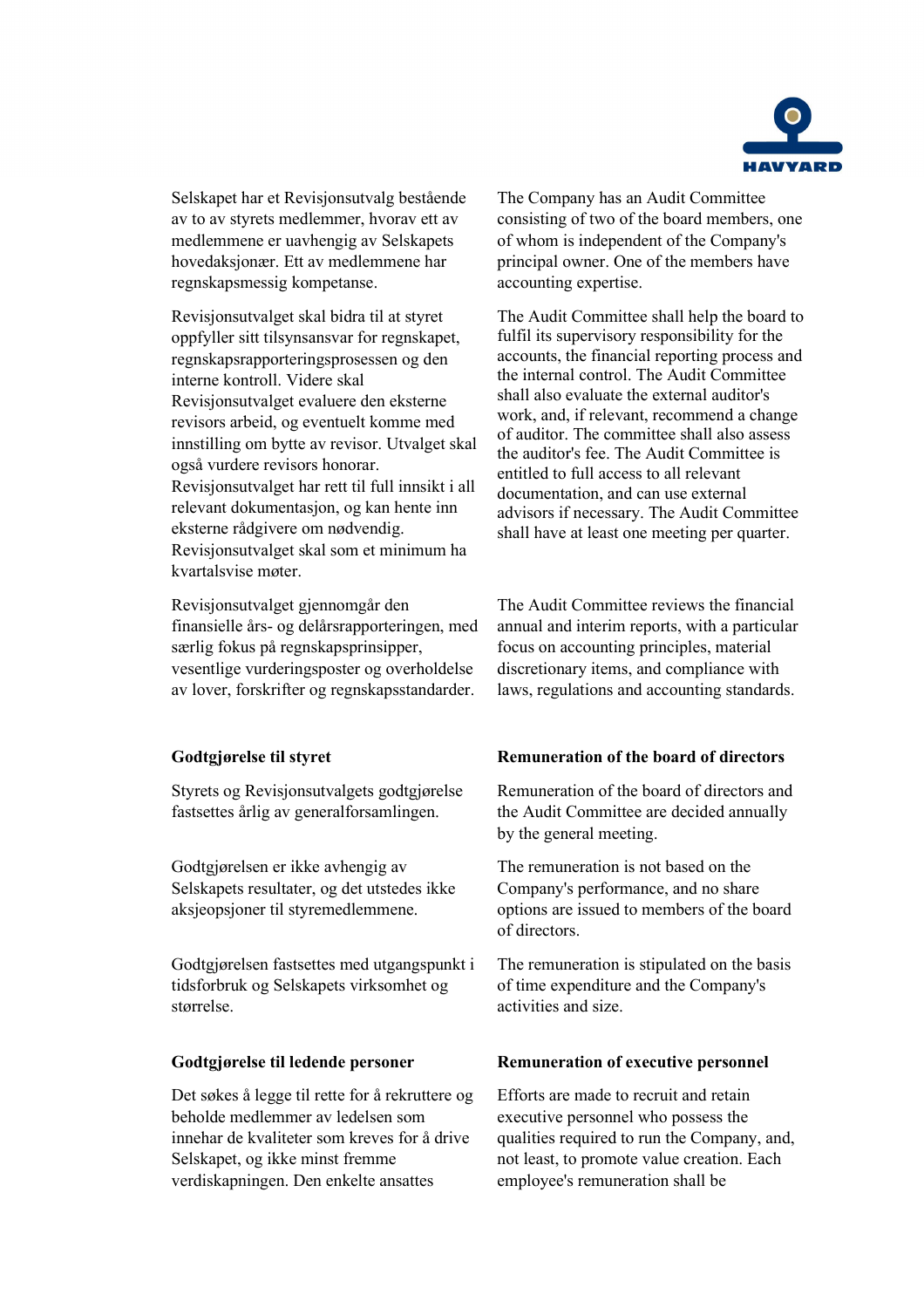

Selskapet har et Revisjonsutvalg bestående av to av styrets medlemmer, hvorav ett av medlemmene er uavhengig av Selskapets hovedaksjonær. Ett av medlemmene har regnskapsmessig kompetanse.

Revisjonsutvalget skal bidra til at styret oppfyller sitt tilsynsansvar for regnskapet, regnskapsrapporteringsprosessen og den interne kontroll. Videre skal Revisjonsutvalget evaluere den eksterne revisors arbeid, og eventuelt komme med innstilling om bytte av revisor. Utvalget skal også vurdere revisors honorar. Revisjonsutvalget har rett til full innsikt i all relevant dokumentasjon, og kan hente inn eksterne rådgivere om nødvendig. Revisjonsutvalget skal som et minimum ha kvartalsvise møter.

Revisjonsutvalget gjennomgår den finansielle års- og delårsrapporteringen, med særlig fokus på regnskapsprinsipper, vesentlige vurderingsposter og overholdelse av lover, forskrifter og regnskapsstandarder.

Styrets og Revisjonsutvalgets godtgjørelse fastsettes årlig av generalforsamlingen.

Godtgjørelsen er ikke avhengig av Selskapets resultater, og det utstedes ikke aksjeopsjoner til styremedlemmene.

Godtgjørelsen fastsettes med utgangspunkt i tidsforbruk og Selskapets virksomhet og størrelse.

Det søkes å legge til rette for å rekruttere og beholde medlemmer av ledelsen som innehar de kvaliteter som kreves for å drive Selskapet, og ikke minst fremme verdiskapningen. Den enkelte ansattes

The Company has an Audit Committee consisting of two of the board members, one of whom is independent of the Company's principal owner. One of the members have accounting expertise.

The Audit Committee shall help the board to fulfil its supervisory responsibility for the accounts, the financial reporting process and the internal control. The Audit Committee shall also evaluate the external auditor's work, and, if relevant, recommend a change of auditor. The committee shall also assess the auditor's fee. The Audit Committee is entitled to full access to all relevant documentation, and can use external advisors if necessary. The Audit Committee shall have at least one meeting per quarter.

The Audit Committee reviews the financial annual and interim reports, with a particular focus on accounting principles, material discretionary items, and compliance with laws, regulations and accounting standards.

# **Godtgjørelse til styret Remuneration of the board of directors**

Remuneration of the board of directors and the Audit Committee are decided annually by the general meeting.

The remuneration is not based on the Company's performance, and no share options are issued to members of the board of directors.

The remuneration is stipulated on the basis of time expenditure and the Company's activities and size.

## **Godtgjørelse til ledende personer Remuneration of executive personnel**

Efforts are made to recruit and retain executive personnel who possess the qualities required to run the Company, and, not least, to promote value creation. Each employee's remuneration shall be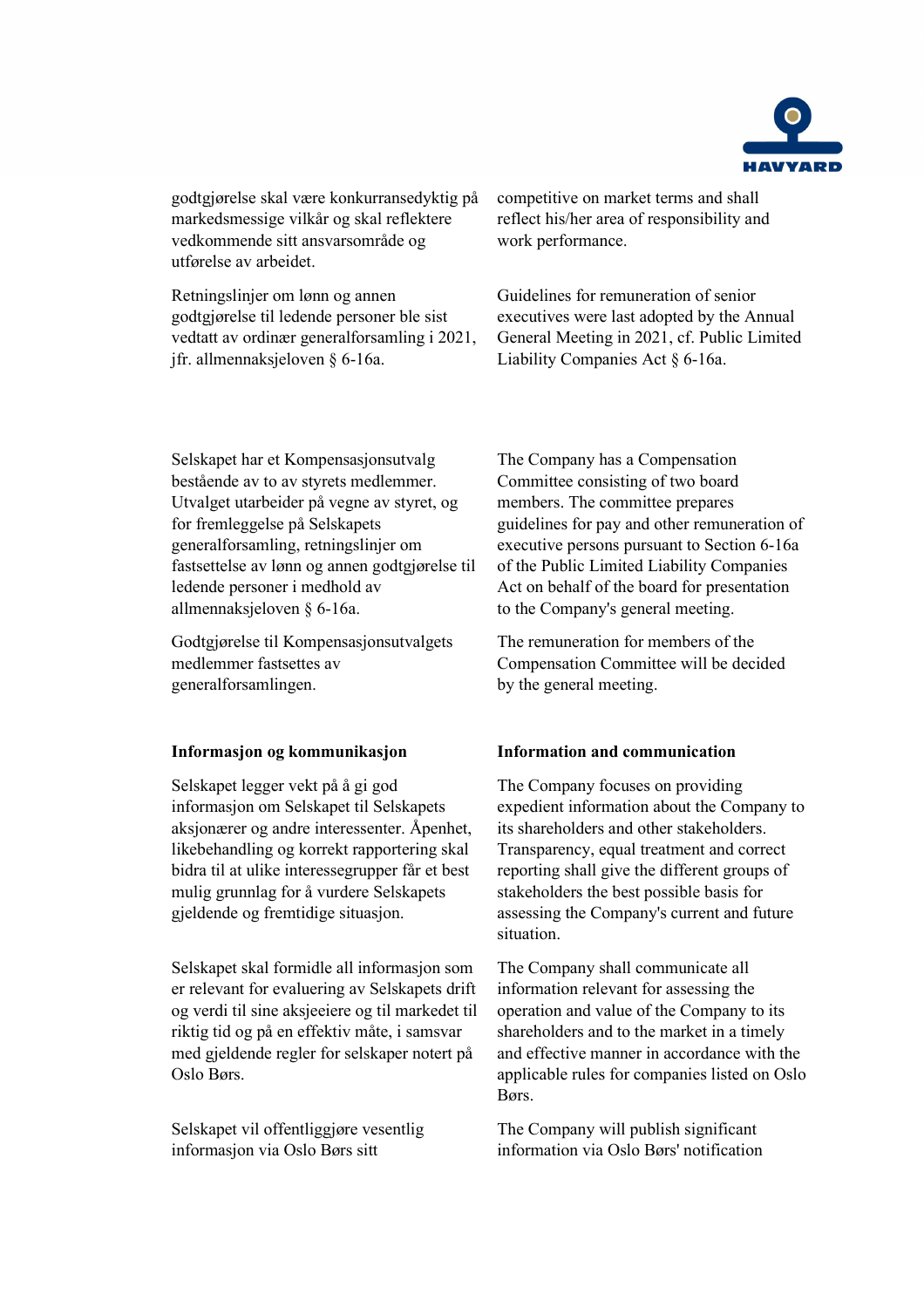

godtgjørelse skal være konkurransedyktig på markedsmessige vilkår og skal reflektere vedkommende sitt ansvarsområde og utførelse av arbeidet.

Retningslinjer om lønn og annen godtgjørelse til ledende personer ble sist vedtatt av ordinær generalforsamling i 2021, jfr. allmennaksjeloven § 6-16a.

competitive on market terms and shall reflect his/her area of responsibility and work performance.

Guidelines for remuneration of senior executives were last adopted by the Annual General Meeting in 2021, cf. Public Limited Liability Companies Act § 6-16a.

Selskapet har et Kompensasjonsutvalg bestående av to av styrets medlemmer. Utvalget utarbeider på vegne av styret, og for fremleggelse på Selskapets generalforsamling, retningslinjer om fastsettelse av lønn og annen godtgjørelse til ledende personer i medhold av allmennaksjeloven § 6-16a.

Godtgjørelse til Kompensasjonsutvalgets medlemmer fastsettes av generalforsamlingen.

Selskapet legger vekt på å gi god informasjon om Selskapet til Selskapets aksjonærer og andre interessenter. Åpenhet, likebehandling og korrekt rapportering skal bidra til at ulike interessegrupper får et best mulig grunnlag for å vurdere Selskapets gjeldende og fremtidige situasjon.

Selskapet skal formidle all informasjon som er relevant for evaluering av Selskapets drift og verdi til sine aksjeeiere og til markedet til riktig tid og på en effektiv måte, i samsvar med gjeldende regler for selskaper notert på Oslo Børs.

Selskapet vil offentliggjøre vesentlig informasjon via Oslo Børs sitt

The Company has a Compensation Committee consisting of two board members. The committee prepares guidelines for pay and other remuneration of executive persons pursuant to Section 6-16a of the Public Limited Liability Companies Act on behalf of the board for presentation to the Company's general meeting.

The remuneration for members of the Compensation Committee will be decided by the general meeting.

# **Informasjon og kommunikasjon Information and communication**

The Company focuses on providing expedient information about the Company to its shareholders and other stakeholders. Transparency, equal treatment and correct reporting shall give the different groups of stakeholders the best possible basis for assessing the Company's current and future situation.

The Company shall communicate all information relevant for assessing the operation and value of the Company to its shareholders and to the market in a timely and effective manner in accordance with the applicable rules for companies listed on Oslo Børs.

The Company will publish significant information via Oslo Børs' notification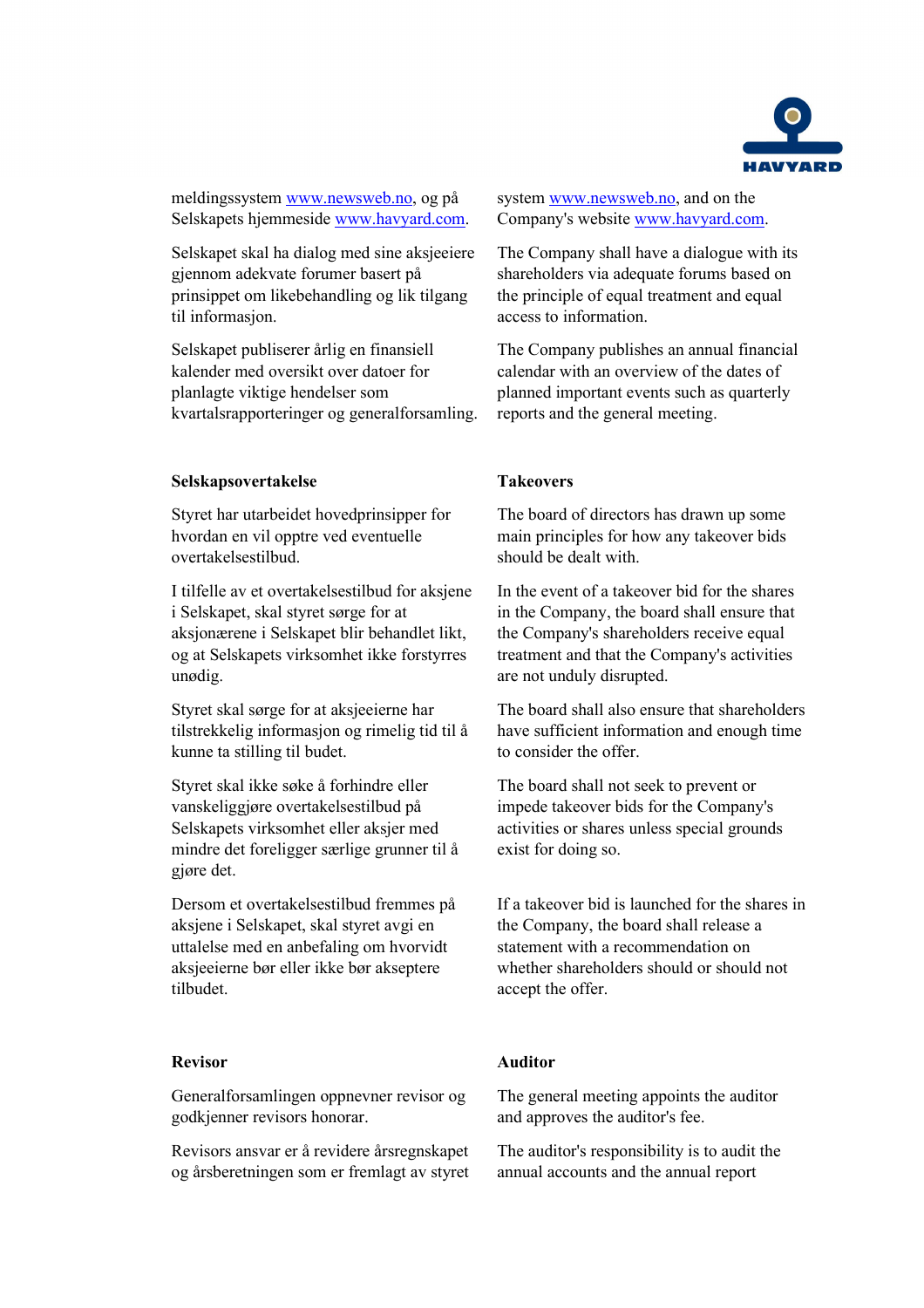

meldingssystem [www.newsweb.no,](http://www.newsweb.no/) og på Selskapets hjemmeside [www.havyard.com.](http://www.havyard.com/)

Selskapet skal ha dialog med sine aksjeeiere gjennom adekvate forumer basert på prinsippet om likebehandling og lik tilgang til informasjon.

Selskapet publiserer årlig en finansiell kalender med oversikt over datoer for planlagte viktige hendelser som kvartalsrapporteringer og generalforsamling.

## **Selskapsovertakelse Takeovers**

Styret har utarbeidet hovedprinsipper for hvordan en vil opptre ved eventuelle overtakelsestilbud.

I tilfelle av et overtakelsestilbud for aksjene i Selskapet, skal styret sørge for at aksjonærene i Selskapet blir behandlet likt, og at Selskapets virksomhet ikke forstyrres unødig.

Styret skal sørge for at aksjeeierne har tilstrekkelig informasjon og rimelig tid til å kunne ta stilling til budet.

Styret skal ikke søke å forhindre eller vanskeliggjøre overtakelsestilbud på Selskapets virksomhet eller aksjer med mindre det foreligger særlige grunner til å gjøre det.

Dersom et overtakelsestilbud fremmes på aksjene i Selskapet, skal styret avgi en uttalelse med en anbefaling om hvorvidt aksjeeierne bør eller ikke bør akseptere tilbudet.

Generalforsamlingen oppnevner revisor og godkjenner revisors honorar.

Revisors ansvar er å revidere årsregnskapet og årsberetningen som er fremlagt av styret system [www.newsweb.no,](http://www.newsweb.no/) and on the Company's website [www.havyard.com.](http://www.havyard.com/)

The Company shall have a dialogue with its shareholders via adequate forums based on the principle of equal treatment and equal access to information.

The Company publishes an annual financial calendar with an overview of the dates of planned important events such as quarterly reports and the general meeting.

The board of directors has drawn up some main principles for how any takeover bids should be dealt with.

In the event of a takeover bid for the shares in the Company, the board shall ensure that the Company's shareholders receive equal treatment and that the Company's activities are not unduly disrupted.

The board shall also ensure that shareholders have sufficient information and enough time to consider the offer.

The board shall not seek to prevent or impede takeover bids for the Company's activities or shares unless special grounds exist for doing so.

If a takeover bid is launched for the shares in the Company, the board shall release a statement with a recommendation on whether shareholders should or should not accept the offer.

# **Revisor Auditor**

The general meeting appoints the auditor and approves the auditor's fee.

The auditor's responsibility is to audit the annual accounts and the annual report